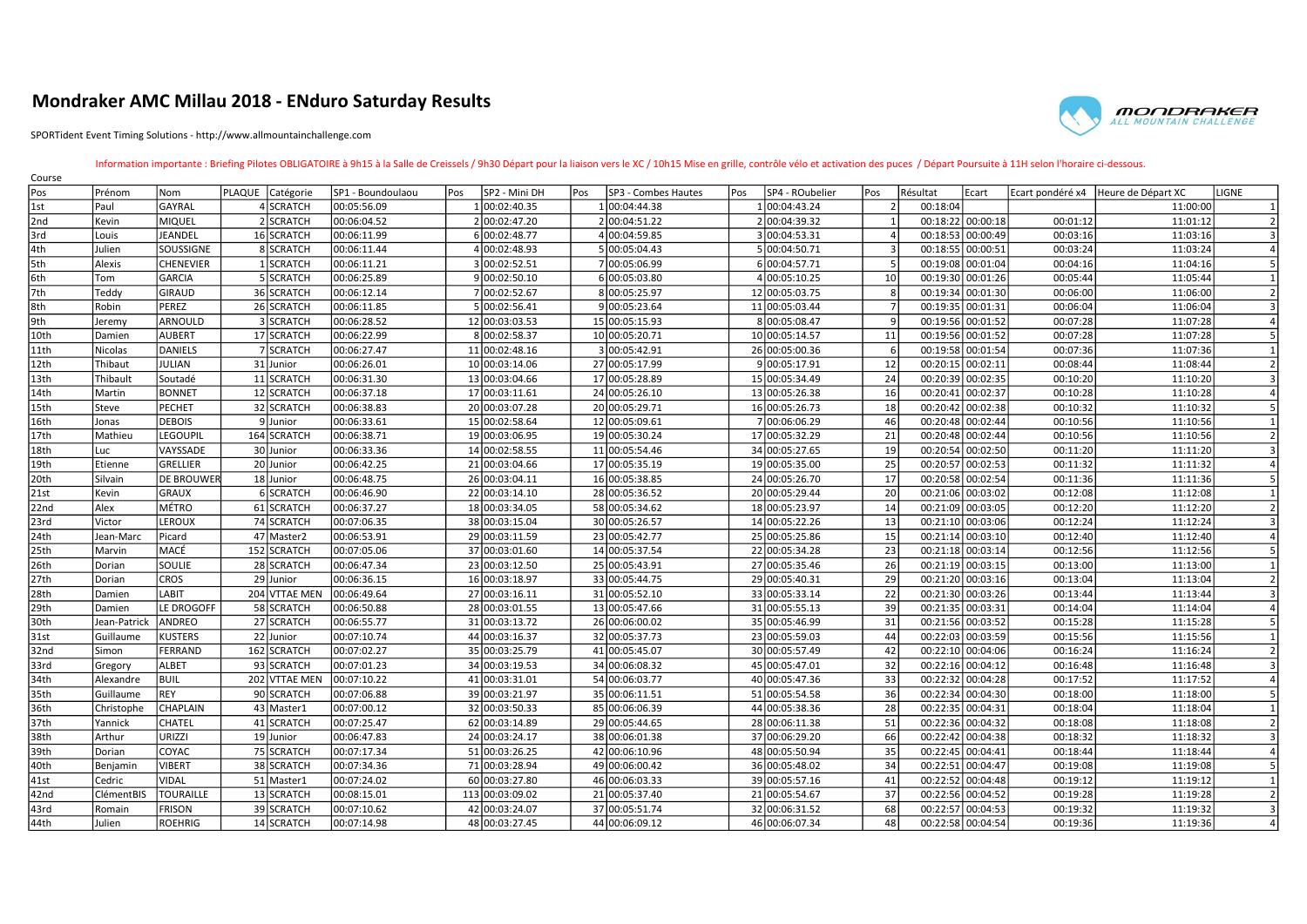## Mondraker AMC Millau 2018 - ENduro Saturday Results

SPORTident Event Timing Solutions - http://www.allmountainchallenge.com



## Information importante : Briefing Pilotes OBLIGATOIRE à 9h15 à la Salle de Creissels / 9h30 Départ pour la liaison vers le XC / 10h15 Mise en grille, contrôle vélo et activation des puces / Départ Poursuite à 11H selon l'h

| Course |                 |                   |  |                  |                   |     |                 |     |                     |     |                 |                |                   |                   |                  |                    |       |
|--------|-----------------|-------------------|--|------------------|-------------------|-----|-----------------|-----|---------------------|-----|-----------------|----------------|-------------------|-------------------|------------------|--------------------|-------|
| Pos    | Prénom          | Nom               |  | PLAQUE Catégorie | SP1 - Boundoulaou | Pos | SP2 - Mini DH   | Pos | SP3 - Combes Hautes | Pos | SP4 - ROubelier | l Pos          | Résultat          | Ecart             | Ecart pondéré x4 | Heure de Départ XC | LIGNE |
| 1st    | Paul            | GAYRAL            |  | 4 SCRATCH        | 00:05:56.09       |     | 00:02:40.35     |     | 00:04:44.38         |     | 1 00:04:43.24   |                | 00:18:04          |                   |                  | 11:00:00           |       |
| 2nd    | Kevin           | MIQUEL            |  | 2 SCRATCH        | 00:06:04.52       |     | 2 00:02:47.20   |     | 2 00:04:51.22       |     | 2 00:04:39.32   | $\mathbf{1}$   |                   | 00:18:22 00:00:18 | 00:01:12         | 11:01:12           |       |
| 3rd    | Louis           | JEANDEL           |  | 16 SCRATCH       | 00:06:11.99       |     | 6 00:02:48.77   |     | 4 00:04:59.85       |     | 3 00:04:53.31   |                |                   | 00:18:53 00:00:49 | 00:03:16         | 11:03:16           |       |
| 4th    | Julien          | SOUSSIGNE         |  | 8 SCRATCH        | 00:06:11.44       |     | 4 00:02:48.93   |     | 5 00:05:04.43       |     | 5 00:04:50.71   | $\overline{3}$ | 00:18:55 00:00:51 |                   | 00:03:24         | 11:03:24           |       |
| 5th    | Alexis          | <b>CHENEVIER</b>  |  | 1 SCRATCH        | 00:06:11.21       |     | 3 00:02:52.51   |     | 7 00:05:06.99       |     | 6 00:04:57.71   | 5              |                   | 00:19:08 00:01:04 | 00:04:16         | 11:04:16           |       |
| l6th   | Tom             | <b>GARCIA</b>     |  | 5 SCRATCH        | 00:06:25.89       |     | 9 00:02:50.10   |     | 6 00:05:03.80       |     | 4 00:05:10.25   | 10             |                   | 00:19:30 00:01:26 | 00:05:44         | 11:05:44           |       |
| 7th    | Teddy           | GIRAUD            |  | 36 SCRATCH       | 00:06:12.14       |     | 7 00:02:52.67   |     | 8 00:05:25.97       |     | 12 00:05:03.75  | 8              |                   | 00:19:34 00:01:30 | 00:06:00         | 11:06:00           |       |
| 8th    | Robin           | PEREZ             |  | 26 SCRATCH       | 00:06:11.85       |     | 5 00:02:56.41   |     | 9 00:05:23.64       |     | 11 00:05:03.44  | $\overline{7}$ |                   | 00:19:35 00:01:31 | 00:06:04         | 11:06:04           |       |
| 9th    | Jeremy          | ARNOULD           |  | 3 SCRATCH        | 00:06:28.52       |     | 12 00:03:03.53  |     | 15 00:05:15.93      |     | 8 00:05:08.47   | 9              |                   | 00:19:56 00:01:52 | 00:07:28         | 11:07:28           |       |
| 10th   | Damien          | <b>AUBERT</b>     |  | 17 SCRATCH       | 00:06:22.99       |     | 8 00:02:58.37   |     | 10 00:05:20.71      |     | 10 00:05:14.57  | 11             |                   | 00:19:56 00:01:52 | 00:07:28         | 11:07:28           |       |
| 11th   | Nicolas         | DANIELS           |  | 7 SCRATCH        | 00:06:27.47       |     | 11 00:02:48.16  |     | 3 00:05:42.91       |     | 26 00:05:00.36  | 6              |                   | 00:19:58 00:01:54 | 00:07:36         | 11:07:36           |       |
| 12th   | Thibaut         | JULIAN            |  | 31 Junior        | 00:06:26.01       |     | 10 00:03:14.06  |     | 27 00:05:17.99      |     | 9 00:05:17.91   | 12             |                   | 00:20:15 00:02:11 | 00:08:44         | 11:08:44           |       |
| 13th   | Thibault        | Soutadé           |  | 11 SCRATCH       | 00:06:31.30       |     | 13 00:03:04.66  |     | 17 00:05:28.89      |     | 15 00:05:34.49  | 24             |                   | 00:20:39 00:02:35 | 00:10:20         | 11:10:20           |       |
| 14th   | Martin          | <b>BONNET</b>     |  | 12 SCRATCH       | 00:06:37.18       |     | 17 00:03:11.61  |     | 24 00:05:26.10      |     | 13 00:05:26.38  | 16             |                   | 00:20:41 00:02:37 | 00:10:28         | 11:10:28           |       |
| 15th   | <b>Steve</b>    | PECHET            |  | 32 SCRATCH       | 00:06:38.83       |     | 20 00:03:07.28  |     | 20 00:05:29.71      |     | 16 00:05:26.73  | 18             |                   | 00:20:42 00:02:38 | 00:10:32         | 11:10:32           |       |
| 16th   | Jonas           | <b>DEBOIS</b>     |  | 9Junior          | 00:06:33.61       |     | 15 00:02:58.64  |     | 12 00:05:09.61      |     | 7 00:06:06.29   | 46             |                   | 00:20:48 00:02:44 | 00:10:56         | 11:10:56           |       |
| 17th   | Mathieu         | <b>LEGOUPIL</b>   |  | 164 SCRATCH      | 00:06:38.71       |     | 19 00:03:06.95  |     | 19 00:05:30.24      |     | 17 00:05:32.29  | 21             |                   | 00:20:48 00:02:44 | 00:10:56         | 11:10:56           |       |
| 18th   | Luc             | <b>VAYSSADE</b>   |  | 30 Junior        | 00:06:33.36       |     | 14 00:02:58.55  |     | 11 00:05:54.46      |     | 34 00:05:27.65  | 19             | 00:20:54 00:02:50 |                   | 00:11:20         | 11:11:20           |       |
| 19th   | <b>lEtienne</b> | GRELLIER          |  | 20 Junior        | 00:06:42.25       |     | 21 00:03:04.66  |     | 17 00:05:35.19      |     | 19 00:05:35.00  | 25             |                   | 00:20:57 00:02:53 | 00:11:32         | 11:11:32           |       |
| 20th   | Silvain         | <b>DE BROUWER</b> |  | 18 Junior        | 00:06:48.75       |     | 26 00:03:04.11  |     | 16 00:05:38.85      |     | 24 00:05:26.70  | 17             |                   | 00:20:58 00:02:54 | 00:11:36         | 11:11:36           |       |
| 21st   | Kevin           | GRAUX             |  | 6 SCRATCH        | 00:06:46.90       |     | 22 00:03:14.10  |     | 28 00:05:36.52      |     | 20 00:05:29.44  | 20             |                   | 00:21:06 00:03:02 | 00:12:08         | 11:12:08           |       |
| 22nd   | Alex            | <b>IMÉTRO</b>     |  | 61 SCRATCH       | 00:06:37.27       |     | 18 00:03:34.05  |     | 58 00:05:34.62      |     | 18 00:05:23.97  | 14             |                   | 00:21:09 00:03:05 | 00:12:20         | 11:12:20           |       |
| 23rd   | Victor          | <b>LEROUX</b>     |  | 74 SCRATCH       | 00:07:06.35       |     | 38 00:03:15.04  |     | 30 00:05:26.57      |     | 14 00:05:22.26  | 13             |                   | 00:21:10 00:03:06 | 00:12:24         | 11:12:24           |       |
| 24th   | Jean-Marc       | Picard            |  | 47 Master 2      | 00:06:53.91       |     | 29 00:03:11.59  |     | 23 00:05:42.77      |     | 25 00:05:25.86  | 15             |                   | 00:21:14 00:03:10 | 00:12:40         | 11:12:40           |       |
| 25th   | Marvin          | lmacé             |  | 152 SCRATCH      | 00:07:05.06       |     | 37 00:03:01.60  |     | 14 00:05:37.54      |     | 22 00:05:34.28  | 23             | 00:21:18 00:03:14 |                   | 00:12:56         | 11:12:56           |       |
| 26th   | Dorian          | SOULIE            |  | 28 SCRATCH       | 00:06:47.34       |     | 23 00:03:12.50  |     | 25 00:05:43.91      |     | 27 00:05:35.46  | 26             |                   | 00:21:19 00:03:15 | 00:13:00         | 11:13:00           |       |
| 27th   | Dorian          | <b>CROS</b>       |  | 29 Junior        | 00:06:36.15       |     | 16 00:03:18.97  |     | 33 00:05:44.75      |     | 29 00:05:40.31  | 29             |                   | 00:21:20 00:03:16 | 00:13:04         | 11:13:04           |       |
| 28th   | Damien          | LABIT             |  | 204 VTTAE MEN    | 00:06:49.64       |     | 27 00:03:16.11  |     | 31 00:05:52.10      |     | 33 00:05:33.14  | 22             |                   | 00:21:30 00:03:26 | 00:13:44         | 11:13:44           |       |
| 29th   | Damien          | LE DROGOFF        |  | 58 SCRATCH       | 00:06:50.88       |     | 28 00:03:01.55  |     | 13 00:05:47.66      |     | 31 00:05:55.13  | 39             |                   | 00:21:35 00:03:31 | 00:14:04         | 11:14:04           |       |
| 30th   | Jean-Patrick    | ANDREO            |  | 27 SCRATCH       | 00:06:55.77       |     | 31 00:03:13.72  |     | 26 00:06:00.02      |     | 35 00:05:46.99  | 31             |                   | 00:21:56 00:03:52 | 00:15:28         | 11:15:28           |       |
| 31st   | Guillaume       | <b>KUSTERS</b>    |  | 22 Junior        | 00:07:10.74       |     | 44 00:03:16.37  |     | 32 00:05:37.73      |     | 23 00:05:59.03  | 44             |                   | 00:22:03 00:03:59 | 00:15:56         | 11:15:56           |       |
| 32nd   | Simon           | FERRAND           |  | 162 SCRATCH      | 00:07:02.27       |     | 35 00:03:25.79  |     | 41 00:05:45.07      |     | 30 00:05:57.49  | 42             |                   | 00:22:10 00:04:06 | 00:16:24         | 11:16:24           |       |
| 33rd   | Gregory         | ALBET             |  | 93 SCRATCH       | 00:07:01.23       |     | 34 00:03:19.53  |     | 34 00:06:08.32      |     | 45 00:05:47.01  | 32             |                   | 00:22:16 00:04:12 | 00:16:48         | 11:16:48           |       |
| 34th   | Alexandre       | <b>BUIL</b>       |  | 202 VTTAE MEN    | 00:07:10.22       |     | 41 00:03:31.01  |     | 54 00:06:03.77      |     | 40 00:05:47.36  | 33             |                   | 00:22:32 00:04:28 | 00:17:52         | 11:17:52           |       |
| 35th   | Guillaume       | REY               |  | 90 SCRATCH       | 00:07:06.88       |     | 39 00:03:21.97  |     | 35 00:06:11.51      |     | 51 00:05:54.58  | 36             | 00:22:34 00:04:30 |                   | 00:18:00         | 11:18:00           |       |
| 36th   | Christophe      | <b>CHAPLAIN</b>   |  | 43 Master1       | 00:07:00.12       |     | 32 00:03:50.33  |     | 85 00:06:06.39      |     | 44 00:05:38.36  | 28             |                   | 00:22:35 00:04:31 | 00:18:04         | 11:18:04           |       |
| 37th   | Yannick         | <b>CHATEL</b>     |  | 41 SCRATCH       | 00:07:25.47       |     | 62 00:03:14.89  |     | 29 00:05:44.65      |     | 28 00:06:11.38  | 51             |                   | 00:22:36 00:04:32 | 00:18:08         | 11:18:08           |       |
| 38th   | Arthur          | URIZZI            |  | 19 Junior        | 00:06:47.83       |     | 24 00:03:24.17  |     | 38 00:06:01.38      |     | 37 00:06:29.20  | 66             |                   | 00:22:42 00:04:38 | 00:18:32         | 11:18:32           |       |
| 39th   | Dorian          | <b>COYAC</b>      |  | 75 SCRATCH       | 00:07:17.34       |     | 51 00:03:26.25  |     | 42 00:06:10.96      |     | 48 00:05:50.94  | 35             |                   | 00:22:45 00:04:41 | 00:18:44         | 11:18:44           |       |
| 40th   | Benjamin        | <b>VIBERT</b>     |  | 38 SCRATCH       | 00:07:34.36       |     | 71 00:03:28.94  |     | 49 00:06:00.42      |     | 36 00:05:48.02  | 34             |                   | 00:22:51 00:04:47 | 00:19:08         | 11:19:08           |       |
| 41st   | Cedric          | <b>VIDAL</b>      |  | 51 Master1       | 00:07:24.02       |     | 60 00:03:27.80  |     | 46 00:06:03.33      |     | 39 00:05:57.16  | 41             | 00:22:52 00:04:48 |                   | 00:19:12         | 11:19:12           |       |
| 42nd   | ClémentBIS      | <b>TOURAILLE</b>  |  | 13 SCRATCH       | 00:08:15.01       |     | 113 00:03:09.02 |     | 21 00:05:37.40      |     | 21 00:05:54.67  | 37             |                   | 00:22:56 00:04:52 | 00:19:28         | 11:19:28           |       |
| 43rd   | Romain          | <b>FRISON</b>     |  | 39 SCRATCH       | 00:07:10.62       |     | 42 00:03:24.07  |     | 37 00:05:51.74      |     | 32 00:06:31.52  | 68             |                   | 00:22:57 00:04:53 | 00:19:32         | 11:19:32           |       |
| 44th   | <b>Julien</b>   | ROEHRIG           |  | 14 SCRATCH       | 00:07:14.98       |     | 48 00:03:27.45  |     | 44 00:06:09.12      |     | 46 00:06:07.34  | 48             |                   | 00:22:58 00:04:54 | 00:19:36         | 11:19:36           |       |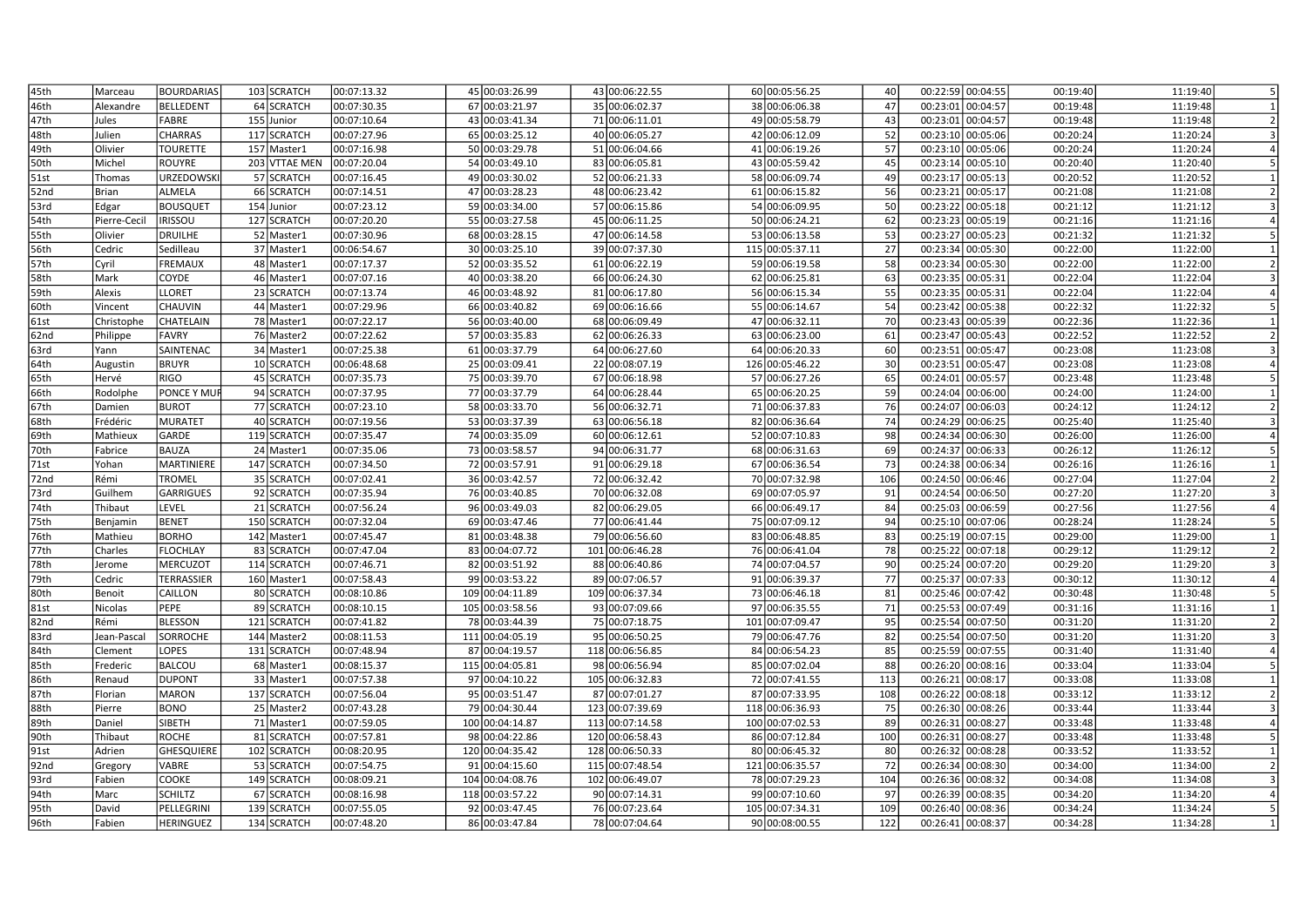| 45th | Marceau      | <b>BOURDARIAS</b>  | 103 SCRATCH   | 00:07:13.32 |            | 45 00:03:26.99  | 43 00:06:22.55  | 60 00:05:56.25  | 40  | 00:22:59 00:04:55 | 00:19:40 | 11:19:40 |
|------|--------------|--------------------|---------------|-------------|------------|-----------------|-----------------|-----------------|-----|-------------------|----------|----------|
| 46th | Alexandre    | BELLEDENT          | 64 SCRATCH    | 00:07:30.35 |            | 67 00:03:21.97  | 35 00:06:02.37  | 38 00:06:06.38  | 47  | 00:23:01 00:04:57 | 00:19:48 | 11:19:48 |
| 47th | Jules        | FABRE              | 155 Junior    | 00:07:10.64 |            | 43 00:03:41.34  | 71 00:06:11.01  | 49 00:05:58.79  | 43  | 00:23:01 00:04:57 | 00:19:48 | 11:19:48 |
| 48th | Julien       | <b>CHARRAS</b>     | 117 SCRATCH   | 00:07:27.96 |            | 65 00:03:25.12  | 40 00:06:05.27  | 42 00:06:12.09  | 52  | 00:23:10 00:05:06 | 00:20:24 | 11:20:24 |
| 49th | Olivier      | <b>TOURETTE</b>    | 157 Master1   | 00:07:16.98 |            | 50 00:03:29.78  | 51 00:06:04.66  | 41 00:06:19.26  | 57  | 00:23:10 00:05:06 | 00:20:24 | 11:20:24 |
| 50th | Michel       | ROUYRE             | 203 VTTAE MEN | 00:07:20.04 |            | 54 00:03:49.10  | 83 00:06:05.81  | 43 00:05:59.42  | 45  | 00:23:14 00:05:10 | 00:20:40 | 11:20:40 |
| 51st | Thomas       | URZEDOWSKI         | 57 SCRATCH    | 00:07:16.45 |            | 49 00:03:30.02  | 52 00:06:21.33  | 58 00:06:09.74  | 49  | 00:23:17 00:05:13 | 00:20:52 | 11:20:52 |
| 52nd | <b>Brian</b> | ALMELA             | 66 SCRATCH    | 00:07:14.51 |            | 47 00:03:28.23  | 48 00:06:23.42  | 61 00:06:15.82  | 56  | 00:23:21 00:05:17 | 00:21:08 | 11:21:08 |
| 53rd | Edgar        | <b>BOUSQUET</b>    | 154 Junior    | 00:07:23.12 |            | 59 00:03:34.00  | 57 00:06:15.86  | 54 00:06:09.95  | 50  | 00:23:22 00:05:18 | 00:21:12 | 11:21:12 |
| 54th | Pierre-Cecil | <b>IRISSOU</b>     | 127 SCRATCH   | 00:07:20.20 |            | 55 00:03:27.58  | 45 00:06:11.25  | 50 00:06:24.21  | 62  | 00:23:23 00:05:19 | 00:21:16 | 11:21:16 |
| 55th | Olivier      | DRUILHE            | 52 Master1    | 00:07:30.96 |            | 68 00:03:28.15  | 47 00:06:14.58  | 53 00:06:13.58  | 53  | 00:23:27 00:05:23 | 00:21:32 | 11:21:32 |
| 56th | Cedric       | Sedilleau          | 37 Master1    | 00:06:54.67 |            | 30 00:03:25.10  | 39 00:07:37.30  | 115 00:05:37.11 | 27  | 00:23:34 00:05:30 | 00:22:00 | 11:22:00 |
| 57th | Cyril        | <b>FREMAUX</b>     | 48 Master1    | 00:07:17.37 |            | 52 00:03:35.52  | 61 00:06:22.19  | 59 00:06:19.58  | 58  | 00:23:34 00:05:30 | 00:22:00 | 11:22:00 |
| 58th | Mark         | <b>COYDE</b>       | 46 Master1    | 00:07:07.16 |            | 40 00:03:38.20  | 66 00:06:24.30  | 62 00:06:25.81  | 63  | 00:23:35 00:05:31 | 00:22:04 | 11:22:04 |
| 59th | Alexis       | <b>LLORET</b>      | 23 SCRATCH    | 00:07:13.74 |            | 46 00:03:48.92  | 81 00:06:17.80  | 56 00:06:15.34  | 55  | 00:23:35 00:05:31 | 00:22:04 | 11:22:04 |
| 60th | Vincent      | <b>CHAUVIN</b>     | 44 Master1    | 00:07:29.96 |            | 66 00:03:40.82  | 69 00:06:16.66  | 55 00:06:14.67  | 54  | 00:23:42 00:05:38 | 00:22:32 | 11:22:32 |
| 61st | Christophe   | CHATELAIN          | 78 Master1    | 00:07:22.17 |            | 56 00:03:40.00  | 68 00:06:09.49  | 47 00:06:32.11  | 70  | 00:23:43 00:05:39 | 00:22:36 | 11:22:36 |
| 62nd | Philippe     | FAVRY              | 76 Master2    | 00:07:22.62 |            | 57 00:03:35.83  | 62 00:06:26.33  | 63 00:06:23.00  | 61  | 00:23:47 00:05:43 | 00:22:52 | 11:22:52 |
| 63rd | Yann         | SAINTENAC          | 34 Master1    | 00:07:25.38 |            | 61 00:03:37.79  | 64 00:06:27.60  | 64 00:06:20.33  | 60  | 00:23:51 00:05:47 | 00:23:08 | 11:23:08 |
| 64th | Augustin     | <b>BRUYR</b>       | 10 SCRATCH    | 00:06:48.68 |            | 25 00:03:09.41  | 22 00:08:07.19  | 126 00:05:46.22 | 30  | 00:23:51 00:05:47 | 00:23:08 | 11:23:08 |
| 65th | Hervé        | <b>RIGO</b>        | 45 SCRATCH    | 00:07:35.73 |            | 75 00:03:39.70  | 67 00:06:18.98  | 57 00:06:27.26  | 65  | 00:24:01 00:05:57 | 00:23:48 | 11:23:48 |
| 66th | Rodolphe     | <b>PONCE Y MUF</b> | 94 SCRATCH    | 00:07:37.95 |            | 77 00:03:37.79  | 64 00:06:28.44  | 65 00:06:20.25  | 59  | 00:24:04 00:06:00 | 00:24:00 | 11:24:00 |
| 67th | Damien       | <b>BUROT</b>       | 77 SCRATCH    | 00:07:23.10 |            | 58 00:03:33.70  | 56 00:06:32.71  | 71 00:06:37.83  | 76  | 00:24:07 00:06:03 | 00:24:12 | 11:24:12 |
| 68th | Frédéric     | MURATET            | 40 SCRATCH    | 00:07:19.56 |            | 53 00:03:37.39  | 63 00:06:56.18  | 82 00:06:36.64  | 74  | 00:24:29 00:06:25 | 00:25:40 | 11:25:40 |
| 69th | Mathieux     | GARDE              | 119 SCRATCH   | 00:07:35.47 |            | 74 00:03:35.09  | 60 00:06:12.61  | 52 00:07:10.83  | 98  | 00:24:34 00:06:30 | 00:26:00 | 11:26:00 |
| 70th | Fabrice      | <b>BAUZA</b>       | 24 Master1    | 00:07:35.06 |            | 73 00:03:58.57  | 94 00:06:31.77  | 68 00:06:31.63  | 69  | 00:24:37 00:06:33 | 00:26:12 | 11:26:12 |
| 71st | Yohan        | MARTINIERE         | 147 SCRATCH   | 00:07:34.50 |            | 72 00:03:57.91  | 91 00:06:29.18  | 67 00:06:36.54  | 73  | 00:24:38 00:06:34 | 00:26:16 | 11:26:16 |
| 72nd | Rémi         | <b>TROMEL</b>      | 35 SCRATCH    | 00:07:02.41 |            | 36 00:03:42.57  | 72 00:06:32.42  | 70 00:07:32.98  | 106 | 00:24:50 00:06:46 | 00:27:04 | 11:27:04 |
| 73rd | Guilhem      | <b>GARRIGUES</b>   | 92 SCRATCH    | 00:07:35.94 |            | 76 00:03:40.85  | 70 00:06:32.08  | 69 00:07:05.97  | 91  | 00:24:54 00:06:50 | 00:27:20 | 11:27:20 |
| 74th | Thibaut      | LEVEL              | 21 SCRATCH    | 00:07:56.24 |            | 96 00:03:49.03  | 82 00:06:29.05  | 66 00:06:49.17  | 84  | 00:25:03 00:06:59 | 00:27:56 | 11:27:56 |
| 75th | Benjamin     | <b>BENET</b>       | 150 SCRATCH   | 00:07:32.04 |            | 69 00:03:47.46  | 77 00:06:41.44  | 75 00:07:09.12  | 94  | 00:25:10 00:07:06 | 00:28:24 | 11:28:24 |
| 76th | Mathieu      | <b>BORHO</b>       | 142 Master1   | 00:07:45.47 |            | 81 00:03:48.38  | 79 00:06:56.60  | 83 00:06:48.85  | 83  | 00:25:19 00:07:15 | 00:29:00 | 11:29:00 |
| 77th | Charles      | <b>FLOCHLAY</b>    | 83 SCRATCH    | 00:07:47.04 |            | 83 00:04:07.72  | 101 00:06:46.28 | 76 00:06:41.04  | 78  | 00:25:22 00:07:18 | 00:29:12 | 11:29:12 |
| 78th | Jerome       | MERCUZOT           | 114 SCRATCH   | 00:07:46.71 |            | 82 00:03:51.92  | 88 00:06:40.86  | 74 00:07:04.57  | 90  | 00:25:24 00:07:20 | 00:29:20 | 11:29:20 |
| 79th | Cedric       | <b>TERRASSIER</b>  | 160 Master1   | 00:07:58.43 |            | 99 00:03:53.22  | 89 00:07:06.57  | 91 00:06:39.37  | 77  | 00:25:37 00:07:33 | 00:30:12 | 11:30:12 |
| 80th | Benoit       | CAILLON            | 80 SCRATCH    | 00:08:10.86 |            | 109 00:04:11.89 | 109 00:06:37.34 | 73 00:06:46.18  | 81  | 00:25:46 00:07:42 | 00:30:48 | 11:30:48 |
| 81st | Nicolas      | PEPE               | 89 SCRATCH    | 00:08:10.15 |            | 105 00:03:58.56 | 93 00:07:09.66  | 97 00:06:35.55  | 71  | 00:25:53 00:07:49 | 00:31:16 | 11:31:16 |
| 82nd | Rémi         | <b>BLESSON</b>     | 121 SCRATCH   | 00:07:41.82 |            | 78 00:03:44.39  | 75 00:07:18.75  | 101 00:07:09.47 | 95  | 00:25:54 00:07:50 | 00:31:20 | 11:31:20 |
| 83rd | Jean-Pascal  | <b>SORROCHE</b>    | 144 Master2   | 00:08:11.53 |            | 111 00:04:05.19 | 95 00:06:50.25  | 79 00:06:47.76  | 82  | 00:25:54 00:07:50 | 00:31:20 | 11:31:20 |
| 84th | Clement      | LOPES              | 131 SCRATCH   | 00:07:48.94 |            | 87 00:04:19.57  | 118 00:06:56.85 | 84 00:06:54.23  | 85  | 00:25:59 00:07:55 | 00:31:40 | 11:31:40 |
| 85th | Frederic     | <b>BALCOU</b>      | 68 Master1    | 00:08:15.37 |            | 115 00:04:05.81 | 98 00:06:56.94  | 85 00:07:02.04  | 88  | 00:26:20 00:08:16 | 00:33:04 | 11:33:04 |
| 86th | Renaud       | <b>DUPONT</b>      | 33 Master1    | 00:07:57.38 |            | 97 00:04:10.22  | 105 00:06:32.83 | 72 00:07:41.55  | 113 | 00:26:21 00:08:17 | 00:33:08 | 11:33:08 |
| 87th | Florian      | <b>MARON</b>       | 137 SCRATCH   | 00:07:56.04 |            | 95 00:03:51.47  | 87 00:07:01.27  | 87 00:07:33.95  | 108 | 00:26:22 00:08:18 | 00:33:12 | 11:33:12 |
| 88th | Pierre       | <b>BONO</b>        | 25 Master2    | 00:07:43.28 |            | 79 00:04:30.44  | 123 00:07:39.69 | 118 00:06:36.93 | 75  | 00:26:30 00:08:26 | 00:33:44 | 11:33:44 |
| 89th | Daniel       | SIBETH             | 71 Master1    | 00:07:59.05 |            | 100 00:04:14.87 | 113 00:07:14.58 | 100 00:07:02.53 | 89  | 00:26:31 00:08:27 | 00:33:48 | 11:33:48 |
| 90th | Thibaut      | ROCHE              | 81 SCRATCH    | 00:07:57.81 |            | 98 00:04:22.86  | 120 00:06:58.43 | 86 00:07:12.84  | 100 | 00:26:31 00:08:27 | 00:33:48 | 11:33:48 |
| 91st | Adrien       | <b>GHESQUIERE</b>  | 102 SCRATCH   | 00:08:20.95 |            | 120 00:04:35.42 | 128 00:06:50.33 | 80 00:06:45.32  | 80  | 00:26:32 00:08:28 | 00:33:52 | 11:33:52 |
| 92nd | Gregory      | <b>VABRE</b>       | 53 SCRATCH    | 00:07:54.75 | 91         | 00:04:15.60     | 115 00:07:48.54 | 121 00:06:35.57 | 72  | 00:26:34 00:08:30 | 00:34:00 | 11:34:00 |
| 93rd | Fabien       | <b>COOKE</b>       | 149 SCRATCH   | 00:08:09.21 | 104        | 00:04:08.76     | 102 00:06:49.07 | 78 00:07:29.23  | 104 | 00:26:36 00:08:32 | 00:34:08 | 11:34:08 |
| 94th | Marc         | <b>SCHILTZ</b>     | 67 SCRATCH    | 00:08:16.98 | <b>118</b> | 00:03:57.22     | 90 00:07:14.31  | 99 00:07:10.60  | 97  | 00:26:39 00:08:35 | 00:34:20 | 11:34:20 |
| 95th | David        | PELLEGRINI         | 139 SCRATCH   | 00:07:55.05 |            | 92 00:03:47.45  | 76 00:07:23.64  | 105 00:07:34.31 | 109 | 00:26:40 00:08:36 | 00:34:24 | 11:34:24 |
| 96th | l Fabien     | <b>HERINGUEZ</b>   | 134 SCRATCH   | 00:07:48.20 |            | 86 00:03:47.84  | 78 00:07:04.64  | 90 00:08:00.55  | 122 | 00:26:41 00:08:37 | 00:34:28 | 11:34:28 |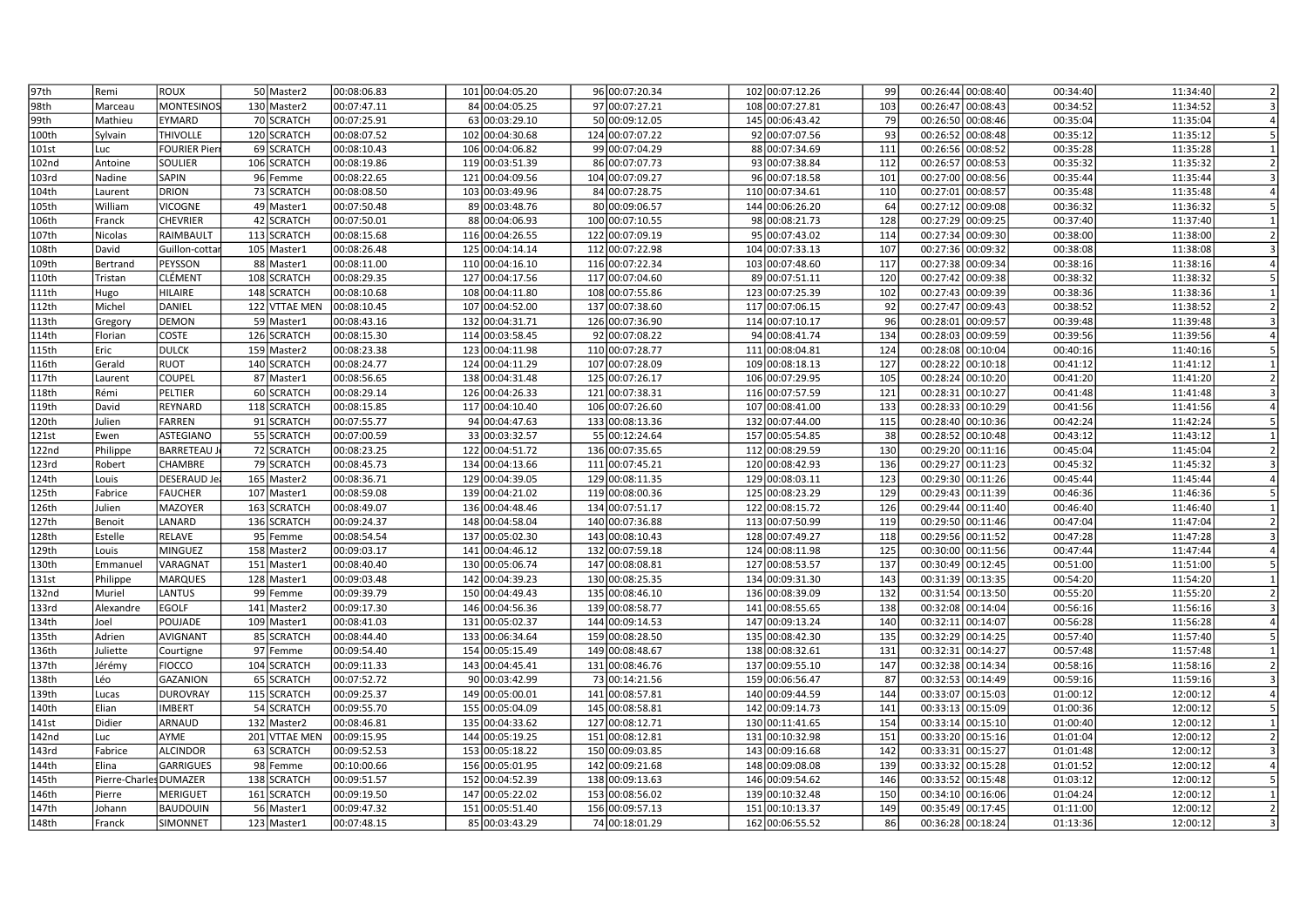| 97th  | Remi                   | <b>ROUX</b>         | 50 Master2    | 00:08:06.83 | 101 00:04:05.20 |     | 96 00:07:20.34  | 102 00:07:12.26 | 99  | 00:26:44 00:08:40    | 00:34:40 | 11:34:40 |
|-------|------------------------|---------------------|---------------|-------------|-----------------|-----|-----------------|-----------------|-----|----------------------|----------|----------|
| 98th  | Marceau                | <b>MONTESINOS</b>   | 130 Master2   | 00:07:47.11 | 84 00:04:05.25  |     | 97 00:07:27.21  | 108 00:07:27.81 | 103 | 00:26:47 00:08:43    | 00:34:52 | 11:34:52 |
| 99th  | Mathieu                | <b>EYMARD</b>       | 70 SCRATCH    | 00:07:25.91 | 63 00:03:29.10  |     | 50 00:09:12.05  | 145 00:06:43.42 | 79  | 00:26:50 00:08:46    | 00:35:04 | 11:35:04 |
| 100th | Sylvain                | <b>THIVOLLE</b>     | 120 SCRATCH   | 00:08:07.52 | 102 00:04:30.68 |     | 124 00:07:07.22 | 92 00:07:07.56  | 93  | 00:26:52 00:08:48    | 00:35:12 | 11:35:12 |
| 101st | Luc                    | <b>FOURIER Pier</b> | 69 SCRATCH    | 00:08:10.43 | 106 00:04:06.82 |     | 99 00:07:04.29  | 88 00:07:34.69  | 111 | 00:26:56 00:08:52    | 00:35:28 | 11:35:28 |
| 102nd | Antoine                | SOULIER             | 106 SCRATCH   | 00:08:19.86 | 119 00:03:51.39 |     | 86 00:07:07.73  | 93 00:07:38.84  | 112 | 00:26:57 00:08:53    | 00:35:32 | 11:35:32 |
| 103rd | Nadine                 | <b>SAPIN</b>        | 96 Femme      | 00:08:22.65 | 121 00:04:09.56 |     | 104 00:07:09.27 | 96 00:07:18.58  | 101 | 00:27:00 00:08:56    | 00:35:44 | 11:35:44 |
| 104th | Laurent                | <b>DRION</b>        | 73 SCRATCH    | 00:08:08.50 | 103 00:03:49.96 |     | 84 00:07:28.75  | 110 00:07:34.61 | 110 | 00:27:01 00:08:57    | 00:35:48 | 11:35:48 |
| 105th | William                | <b>VICOGNE</b>      | 49 Master1    | 00:07:50.48 | 89 00:03:48.76  |     | 80 00:09:06.57  | 144 00:06:26.20 | 64  | 00:27:12<br>00:09:08 | 00:36:32 | 11:36:32 |
| 106th | Franck                 | <b>CHEVRIER</b>     | 42 SCRATCH    | 00:07:50.01 | 88 00:04:06.93  | 100 | 00:07:10.55     | 98 00:08:21.73  | 128 | 00:27:29 00:09:25    | 00:37:40 | 11:37:40 |
| 107th | Nicolas                | RAIMBAULT           | 113 SCRATCH   | 00:08:15.68 | 116 00:04:26.55 |     | 122 00:07:09.19 | 95 00:07:43.02  | 114 | 00:27:34 00:09:30    | 00:38:00 | 11:38:00 |
| 108th | David                  | Guillon-cotta       | 105 Master1   | 00:08:26.48 | 125 00:04:14.14 |     | 112 00:07:22.98 | 104 00:07:33.13 | 107 | 00:27:36 00:09:32    | 00:38:08 | 11:38:08 |
| 109th | Bertrand               | PEYSSON             | 88 Master1    | 00:08:11.00 | 110 00:04:16.10 |     | 116 00:07:22.34 | 103 00:07:48.60 | 117 | 00:27:38 00:09:34    | 00:38:16 | 11:38:16 |
| 110th | Tristan                | <b>CLÉMENT</b>      | 108 SCRATCH   | 00:08:29.35 | 127 00:04:17.56 |     | 117 00:07:04.60 | 89 00:07:51.11  | 120 | 00:27:42 00:09:38    | 00:38:32 | 11:38:32 |
| 111th | Hugo                   | <b>HILAIRE</b>      | 148 SCRATCH   | 00:08:10.68 | 108 00:04:11.80 |     | 108 00:07:55.86 | 123 00:07:25.39 | 102 | 00:27:43 00:09:39    | 00:38:36 | 11:38:36 |
| 112th | Michel                 | DANIEL              | 122 VTTAE MEN | 00:08:10.45 | 107 00:04:52.00 |     | 137 00:07:38.60 | 117 00:07:06.15 | 92  | 00:27:47 00:09:43    | 00:38:52 | 11:38:52 |
| 113th | Gregory                | <b>DEMON</b>        | 59 Master1    | 00:08:43.16 | 132 00:04:31.71 |     | 126 00:07:36.90 | 114 00:07:10.17 | 96  | 00:28:01 00:09:57    | 00:39:48 | 11:39:48 |
| 114th | Florian                | <b>COSTE</b>        | 126 SCRATCH   | 00:08:15.30 | 114 00:03:58.45 |     | 92 00:07:08.22  | 94 00:08:41.74  | 134 | 00:28:03 00:09:59    | 00:39:56 | 11:39:56 |
| 115th | Eric                   | <b>DULCK</b>        | 159 Master2   | 00:08:23.38 | 123 00:04:11.98 | 110 | 00:07:28.77     | 111 00:08:04.81 | 124 | 00:28:08 00:10:04    | 00:40:16 | 11:40:16 |
| 116th | Gerald                 | <b>RUOT</b>         | 140 SCRATCH   | 00:08:24.77 | 124 00:04:11.29 |     | 107 00:07:28.09 | 109 00:08:18.13 | 127 | 00:28:22 00:10:18    | 00:41:12 | 11:41:12 |
| 117th | Laurent                | <b>COUPEL</b>       | 87 Master1    | 00:08:56.65 | 138 00:04:31.48 |     | 125 00:07:26.17 | 106 00:07:29.95 | 105 | 00:28:24 00:10:20    | 00:41:20 | 11:41:20 |
| 118th | Rémi                   | PELTIER             | 60 SCRATCH    | 00:08:29.14 | 126 00:04:26.33 |     | 121 00:07:38.31 | 116 00:07:57.59 | 121 | 00:28:31 00:10:27    | 00:41:48 | 11:41:48 |
| 119th | David                  | <b>REYNARD</b>      | 118 SCRATCH   | 00:08:15.85 | 117 00:04:10.40 |     | 106 00:07:26.60 | 107 00:08:41.00 | 133 | 00:28:33 00:10:29    | 00:41:56 | 11:41:56 |
| 120th | Julien                 | <b>FARREN</b>       | 91 SCRATCH    | 00:07:55.77 | 94 00:04:47.63  |     | 133 00:08:13.36 | 132 00:07:44.00 | 115 | 00:28:40 00:10:36    | 00:42:24 | 11:42:24 |
| 121st | Ewen                   | <b>ASTEGIANO</b>    | 55 SCRATCH    | 00:07:00.59 | 33 00:03:32.57  |     | 55 00:12:24.64  | 157 00:05:54.85 | 38  | 00:28:52 00:10:48    | 00:43:12 | 11:43:12 |
| 122nd | Philippe               | <b>BARRETEAU</b>    | 72 SCRATCH    | 00:08:23.25 | 122 00:04:51.72 |     | 136 00:07:35.65 | 112 00:08:29.59 | 130 | 00:29:20 00:11:16    | 00:45:04 | 11:45:04 |
| 123rd | Robert                 | <b>CHAMBRE</b>      | 79 SCRATCH    | 00:08:45.73 | 134 00:04:13.66 |     | 111 00:07:45.21 | 120 00:08:42.93 | 136 | 00:29:27 00:11:23    | 00:45:32 | 11:45:32 |
| 124th | Louis                  | <b>DESERAUD Je</b>  | 165 Master2   | 00:08:36.71 | 129 00:04:39.05 |     | 129 00:08:11.35 | 129 00:08:03.11 | 123 | 00:29:30 00:11:26    | 00:45:44 | 11:45:44 |
| 125th | Fabrice                | <b>FAUCHER</b>      | 107 Master1   | 00:08:59.08 | 139 00:04:21.02 |     | 119 00:08:00.36 | 125 00:08:23.29 | 129 | 00:29:43 00:11:39    | 00:46:36 | 11:46:36 |
| 126th | Julien                 | MAZOYER             | 163 SCRATCH   | 00:08:49.07 | 136 00:04:48.46 |     | 134 00:07:51.17 | 122 00:08:15.72 | 126 | 00:29:44 00:11:40    | 00:46:40 | 11:46:40 |
| 127th | Benoit                 | LANARD              | 136 SCRATCH   | 00:09:24.37 | 148 00:04:58.04 |     | 140 00:07:36.88 | 113 00:07:50.99 | 119 | 00:29:50 00:11:46    | 00:47:04 | 11:47:04 |
| 128th | Estelle                | <b>RELAVE</b>       | 95 Femme      | 00:08:54.54 | 137 00:05:02.30 |     | 143 00:08:10.43 | 128 00:07:49.27 | 118 | 00:29:56 00:11:52    | 00:47:28 | 11:47:28 |
| 129th | Louis                  | <b>MINGUEZ</b>      | 158 Master2   | 00:09:03.17 | 141 00:04:46.12 |     | 132 00:07:59.18 | 124 00:08:11.98 | 125 | 00:30:00 00:11:56    | 00:47:44 | 11:47:44 |
| 130th | Emmanuel               | VARAGNAT            | 151 Master1   | 00:08:40.40 | 130 00:05:06.74 |     | 147 00:08:08.81 | 127 00:08:53.57 | 137 | 00:30:49 00:12:45    | 00:51:00 | 11:51:00 |
| 131st | Philippe               | <b>MARQUES</b>      | 128 Master1   | 00:09:03.48 | 142 00:04:39.23 | 130 | 00:08:25.35     | 134 00:09:31.30 | 143 | 00:31:39 00:13:35    | 00:54:20 | 11:54:20 |
| 132nd | Muriel                 | <b>LANTUS</b>       | 99 Femme      | 00:09:39.79 | 150 00:04:49.43 |     | 135 00:08:46.10 | 136 00:08:39.09 | 132 | 00:31:54 00:13:50    | 00:55:20 | 11:55:20 |
| 133rd | Alexandre              | <b>EGOLF</b>        | 141 Master2   | 00:09:17.30 | 146 00:04:56.36 |     | 139 00:08:58.77 | 141 00:08:55.65 | 138 | 00:32:08 00:14:04    | 00:56:16 | 11:56:16 |
| 134th | Joel                   | POUJADE             | 109 Master1   | 00:08:41.03 | 131 00:05:02.37 |     | 144 00:09:14.53 | 147 00:09:13.24 | 140 | 00:32:11 00:14:07    | 00:56:28 | 11:56:28 |
| 135th | Adrien                 | <b>AVIGNANT</b>     | 85 SCRATCH    | 00:08:44.40 | 133 00:06:34.64 |     | 159 00:08:28.50 | 135 00:08:42.30 | 135 | 00:32:29 00:14:25    | 00:57:40 | 11:57:40 |
| 136th | Juliette               | Courtigne           | 97 Femme      | 00:09:54.40 | 154 00:05:15.49 |     | 149 00:08:48.67 | 138 00:08:32.61 | 131 | 00:32:31 00:14:27    | 00:57:48 | 11:57:48 |
| 137th | Jérémy                 | <b>FIOCCO</b>       | 104 SCRATCH   | 00:09:11.33 | 143 00:04:45.41 |     | 131 00:08:46.76 | 137 00:09:55.10 | 147 | 00:32:38 00:14:34    | 00:58:16 | 11:58:16 |
| 138th | Léo                    | <b>GAZANION</b>     | 65 SCRATCH    | 00:07:52.72 | 90 00:03:42.99  |     | 73 00:14:21.56  | 159 00:06:56.47 | 87  | 00:32:53 00:14:49    | 00:59:16 | 11:59:16 |
| 139th | Lucas                  | <b>DUROVRAY</b>     | 115 SCRATCH   | 00:09:25.37 | 149 00:05:00.01 |     | 141 00:08:57.81 | 140 00:09:44.59 | 144 | 00:33:07 00:15:03    | 01:00:12 | 12:00:12 |
| 140th | Elian                  | <b>IMBERT</b>       | 54 SCRATCH    | 00:09:55.70 | 155 00:05:04.09 | 145 | 00:08:58.81     | 142 00:09:14.73 | 141 | 00:33:13 00:15:09    | 01:00:36 | 12:00:12 |
| 141st | Didier                 | <b>ARNAUD</b>       | 132 Master2   | 00:08:46.81 | 135 00:04:33.62 |     | 127 00:08:12.71 | 130 00:11:41.65 | 154 | 00:33:14 00:15:10    | 01:00:40 | 12:00:12 |
| 142nd | Luc                    | AYME                | 201 VTTAE MEN | 00:09:15.95 | 144 00:05:19.25 |     | 151 00:08:12.81 | 131 00:10:32.98 | 151 | 00:33:20 00:15:16    | 01:01:04 | 12:00:12 |
| 143rd | Fabrice                | <b>ALCINDOR</b>     | 63 SCRATCH    | 00:09:52.53 | 153 00:05:18.22 |     | 150 00:09:03.85 | 143 00:09:16.68 | 142 | 00:33:31 00:15:27    | 01:01:48 | 12:00:12 |
| 144th | Elina                  | <b>GARRIGUES</b>    | 98 Femme      | 00:10:00.66 | 156 00:05:01.95 |     | 142 00:09:21.68 | 148 00:09:08.08 | 139 | 00:33:32 00:15:28    | 01:01:52 | 12:00:12 |
| 145th | Pierre-Charles DUMAZER |                     | 138 SCRATCH   | 00:09:51.57 | 152 00:04:52.39 |     | 138 00:09:13.63 | 146 00:09:54.62 | 146 | 00:33:52 00:15:48    | 01:03:12 | 12:00:12 |
| 146th | Pierre                 | <b>MERIGUET</b>     | 161 SCRATCH   | 00:09:19.50 | 147 00:05:22.02 |     | 153 00:08:56.02 | 139 00:10:32.48 | 150 | 00:34:10 00:16:06    | 01:04:24 | 12:00:12 |
| 147th | Johann                 | <b>BAUDOUIN</b>     | 56 Master1    | 00:09:47.32 | 151 00:05:51.40 |     | 156 00:09:57.13 | 151 00:10:13.37 | 149 | 00:35:49 00:17:45    | 01:11:00 | 12:00:12 |
| 148th | Franck                 | <b>SIMONNET</b>     | 123 Master1   | 00:07:48.15 | 85 00:03:43.29  |     | 74 00:18:01.29  | 162 00:06:55.52 | 86  | 00:36:28 00:18:24    | 01:13:36 | 12:00:12 |